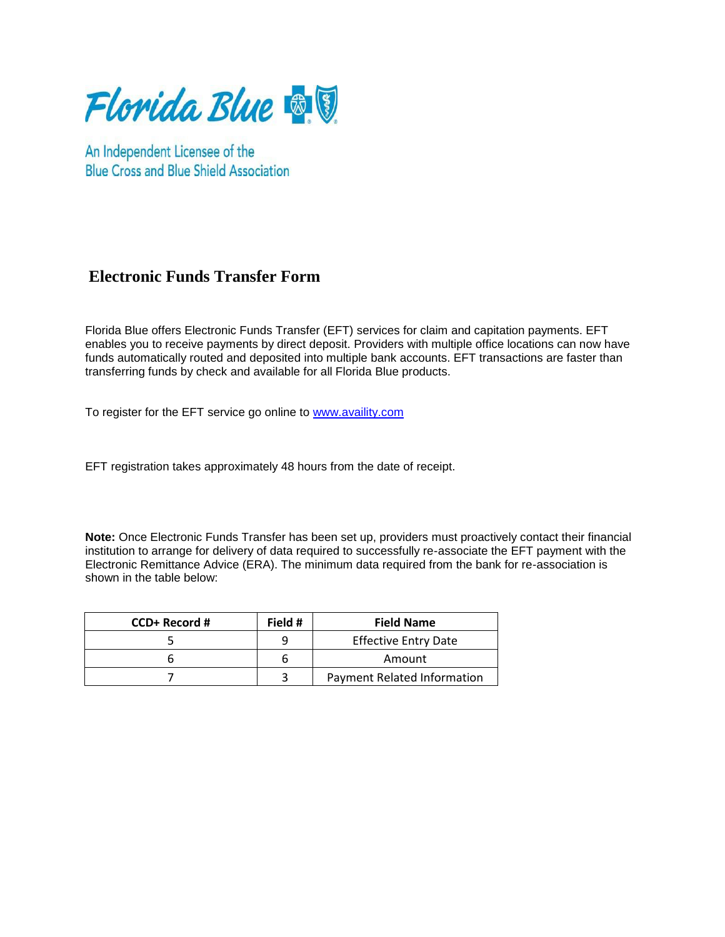

An Independent Licensee of the **Blue Cross and Blue Shield Association** 

## **Electronic Funds Transfer Form**

Florida Blue offers Electronic Funds Transfer (EFT) services for claim and capitation payments. EFT enables you to receive payments by direct deposit. Providers with multiple office locations can now have funds automatically routed and deposited into multiple bank accounts. EFT transactions are faster than transferring funds by check and available for all Florida Blue products.

To register for the EFT service go online to [www.availity.com](http://www.availity.com/)

EFT registration takes approximately 48 hours from the date of receipt.

**Note:** Once Electronic Funds Transfer has been set up, providers must proactively contact their financial institution to arrange for delivery of data required to successfully re-associate the EFT payment with the Electronic Remittance Advice (ERA). The minimum data required from the bank for re-association is shown in the table below:

| CCD+ Record # | Field # | <b>Field Name</b>           |
|---------------|---------|-----------------------------|
|               | q       | <b>Effective Entry Date</b> |
|               | b       | Amount                      |
|               |         | Payment Related Information |